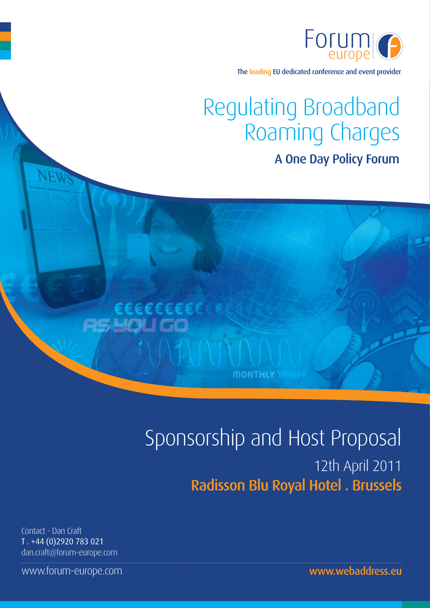

The leading EU dedicated conference and event provider

# Regulating Broadband Roaming Charges A One Day Policy Forum

# Sponsorship and Host Proposal 12th April 2011 Radisson Blu Royal Hotel . Brussels

**MONTHLY** 

€EEEEEEEE

Contact - Dan Craft T . +44 (0)2920 783 021 dan.craft@forum-europe.com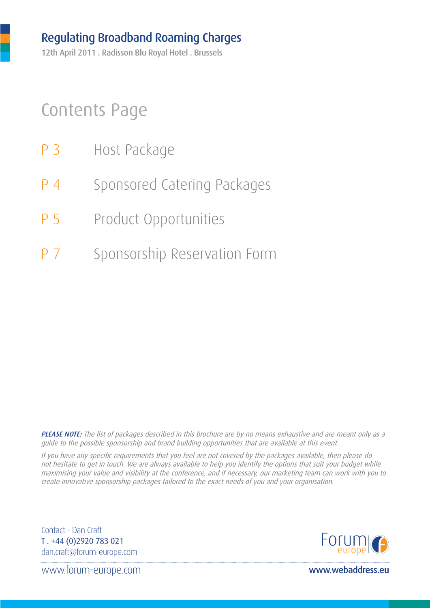12th April 2011 . Radisson Blu Royal Hotel . Brussels

## Contents Page

- P 3 Host Package
- P 4 Sponsored Catering Packages
- P 5 Product Opportunities
- P 7 Sponsorship Reservation Form

PLEASE NOTE: The list of packages described in this brochure are by no means exhaustive and are meant only as a guide to the possible sponsorship and brand building opportunities that are available at this event.

If you have any specific requirements that you feel are not covered by the packages available, then please do not hesitate to get in touch. We are always available to help you identify the options that suit your budget while maximising your value and visibility at the conference, and if necessary, our marketing team can work with you to create innovative sponsorship packages tailored to the exact needs of you and your organisation.

Contact - Dan Craft T . +44 (0)2920 783 021 dan.craft@forum-europe.com

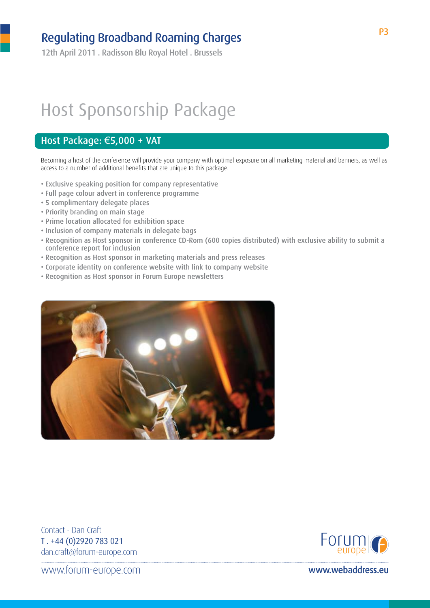12th April 2011 . Radisson Blu Royal Hotel . Brussels

# Host Sponsorship Package

#### Host Package: €5,000 + VAT

Becoming a host of the conference will provide your company with optimal exposure on all marketing material and banners, as well as access to a number of additional benefits that are unique to this package.

- Exclusive speaking position for company representative
- Full page colour advert in conference programme
- 5 complimentary delegate places
- Priority branding on main stage
- Prime location allocated for exhibition space
- Inclusion of company materials in delegate bags
- Recognition as Host sponsor in conference CD-Rom (600 copies distributed) with exclusive ability to submit a conference report for inclusion
- Recognition as Host sponsor in marketing materials and press releases
- Corporate identity on conference website with link to company website
- Recognition as Host sponsor in Forum Europe newsletters



Contact - Dan Craft T . +44 (0)2920 783 021 dan.craft@forum-europe.com

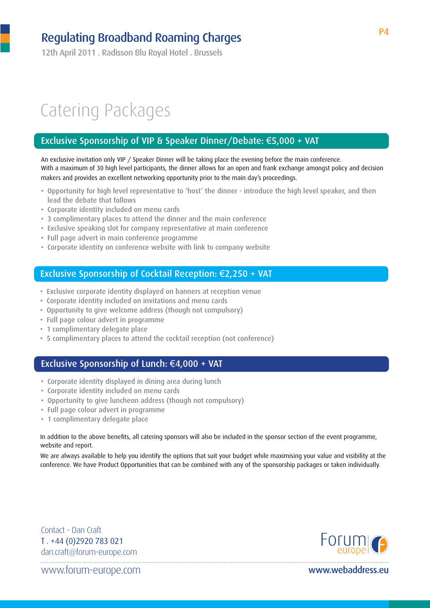12th April 2011 . Radisson Blu Royal Hotel . Brussels

# Catering Packages

#### Exclusive Sponsorship of VIP & Speaker Dinner/Debate: €5,000 + VAT

An exclusive invitation only VIP / Speaker Dinner will be taking place the evening before the main conference. With a maximum of 30 high level participants, the dinner allows for an open and frank exchange amongst policy and decision makers and provides an excellent networking opportunity prior to the main day's proceedings.

- Opportunity for high level representative to 'host' the dinner introduce the high level speaker, and then lead the debate that follows
- Corporate identity included on menu cards
- 3 complimentary places to attend the dinner and the main conference
- Exclusive speaking slot for company representative at main conference
- Full page advert in main conference programme
- Corporate identity on conference website with link to company website

#### Exclusive Sponsorship of Cocktail Reception: €2,250 + VAT

- Exclusive corporate identity displayed on banners at reception venue
- Corporate identity included on invitations and menu cards
- Opportunity to give welcome address (though not compulsory)
- Full page colour advert in programme
- 1 complimentary delegate place
- 5 complimentary places to attend the cocktail reception (not conference)

#### Exclusive Sponsorship of Lunch: €4,000 + VAT

- Corporate identity displayed in dining area during lunch
- Corporate identity included on menu cards
- Opportunity to give luncheon address (though not compulsory)
- Full page colour advert in programme
- 1 complimentary delegate place

In addition to the above benefits, all catering sponsors will also be included in the sponsor section of the event programme, website and report.

We are always available to help you identify the options that suit your budget while maximising your value and visibility at the conference. We have Product Opportunities that can be combined with any of the sponsorship packages or taken individually.

Contact - Dan Craft T . +44 (0)2920 783 021 dan.craft@forum-europe.com

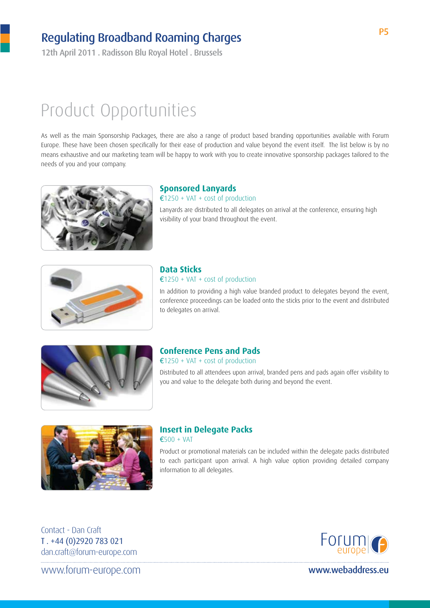12th April 2011 . Radisson Blu Royal Hotel . Brussels

## Product Opportunities

As well as the main Sponsorship Packages, there are also a range of product based branding opportunities available with Forum Europe. These have been chosen specifically for their ease of production and value beyond the event itself. The list below is by no means exhaustive and our marketing team will be happy to work with you to create innovative sponsorship packages tailored to the needs of you and your company.



#### **Sponsored Lanyards**

€1250 + VAT + cost of production Lanyards are distributed to all delegates on arrival at the conference, ensuring high visibility of your brand throughout the event.



#### **Data Sticks** €1250 + VAT + cost of production

In addition to providing a high value branded product to delegates beyond the event, conference proceedings can be loaded onto the sticks prior to the event and distributed to delegates on arrival.



### **Conference Pens and Pads**

 $£1250 + VAT + cost of production$ 

Distributed to all attendees upon arrival, branded pens and pads again offer visibility to you and value to the delegate both during and beyond the event.



#### **Insert in Delegate Packs**  $€500 + VAT$

Product or promotional materials can be included within the delegate packs distributed to each participant upon arrival. A high value option providing detailed company information to all delegates.

Contact - Dan Craft T . +44 (0)2920 783 021 dan.craft@forum-europe.com

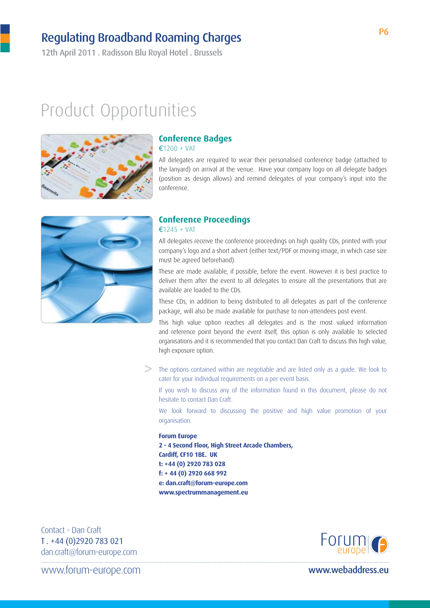12th April 2011 . Radisson Blu Royal Hotel . Brussels

## Product Opportunities



#### **Conference Badges**

€1200 + VAT

All delegates are required to wear their personalised conference badge (attached to the lanyard) on arrival at the venue. Have your company logo on all delegate badges (position as design allows) and remind delegates of your company's input into the conference.



#### **Conference Proceedings** €1245 + VAT

All delegates receive the conference proceedings on high quality CDs, printed with your company's logo and a short advert (either text/PDF or moving image, in which case size must be agreed beforehand).

These are made available, if possible, before the event. However it is best practice to deliver them after the event to all delegates to ensure all the presentations that are available are loaded to the CDs.

These CDs, in addition to being distributed to all delegates as part of the conference package, will also be made available for purchase to non-attendees post event.

This high value option reaches all delegates and is the most valued information and reference point beyond the event itself, this option is only available to selected organisations and it is recommended that you contact Dan Craft to discuss this high value, high exposure option.

**>** The options contained within are negotiable and are listed only as a guide. We look to cater for your individual requirements on a per event basis.

If you wish to discuss any of the information found in this document, please do not hesitate to contact Dan Craft.

We look forward to discussing the positive and high value promotion of your organisation.

#### **Forum Europe**

**2 - 4 Second Floor, High Street Arcade Chambers, Cardiff, CF10 1BE. UK t: +44 (0) 2920 783 028 f: + 44 (0) 2920 668 992 e: dan.craft@forum-europe.com www.spectrummanagement.eu**

Contact - Dan Craft T . +44 (0)2920 783 021 dan.craft@forum-europe.com